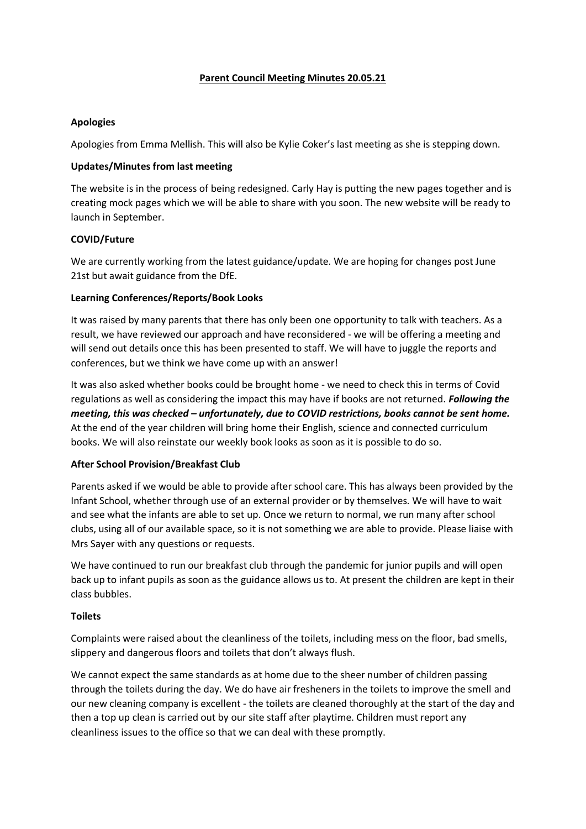# **Parent Council Meeting Minutes 20.05.21**

# **Apologies**

Apologies from Emma Mellish. This will also be Kylie Coker's last meeting as she is stepping down.

### **Updates/Minutes from last meeting**

The website is in the process of being redesigned. Carly Hay is putting the new pages together and is creating mock pages which we will be able to share with you soon. The new website will be ready to launch in September.

## **COVID/Future**

We are currently working from the latest guidance/update. We are hoping for changes post June 21st but await guidance from the DfE.

## **Learning Conferences/Reports/Book Looks**

It was raised by many parents that there has only been one opportunity to talk with teachers. As a result, we have reviewed our approach and have reconsidered - we will be offering a meeting and will send out details once this has been presented to staff. We will have to juggle the reports and conferences, but we think we have come up with an answer!

It was also asked whether books could be brought home - we need to check this in terms of Covid regulations as well as considering the impact this may have if books are not returned. *Following the meeting, this was checked – unfortunately, due to COVID restrictions, books cannot be sent home.* At the end of the year children will bring home their English, science and connected curriculum books. We will also reinstate our weekly book looks as soon as it is possible to do so.

# **After School Provision/Breakfast Club**

Parents asked if we would be able to provide after school care. This has always been provided by the Infant School, whether through use of an external provider or by themselves. We will have to wait and see what the infants are able to set up. Once we return to normal, we run many after school clubs, using all of our available space, so it is not something we are able to provide. Please liaise with Mrs Sayer with any questions or requests.

We have continued to run our breakfast club through the pandemic for junior pupils and will open back up to infant pupils as soon as the guidance allows us to. At present the children are kept in their class bubbles.

#### **Toilets**

Complaints were raised about the cleanliness of the toilets, including mess on the floor, bad smells, slippery and dangerous floors and toilets that don't always flush.

We cannot expect the same standards as at home due to the sheer number of children passing through the toilets during the day. We do have air fresheners in the toilets to improve the smell and our new cleaning company is excellent - the toilets are cleaned thoroughly at the start of the day and then a top up clean is carried out by our site staff after playtime. Children must report any cleanliness issues to the office so that we can deal with these promptly.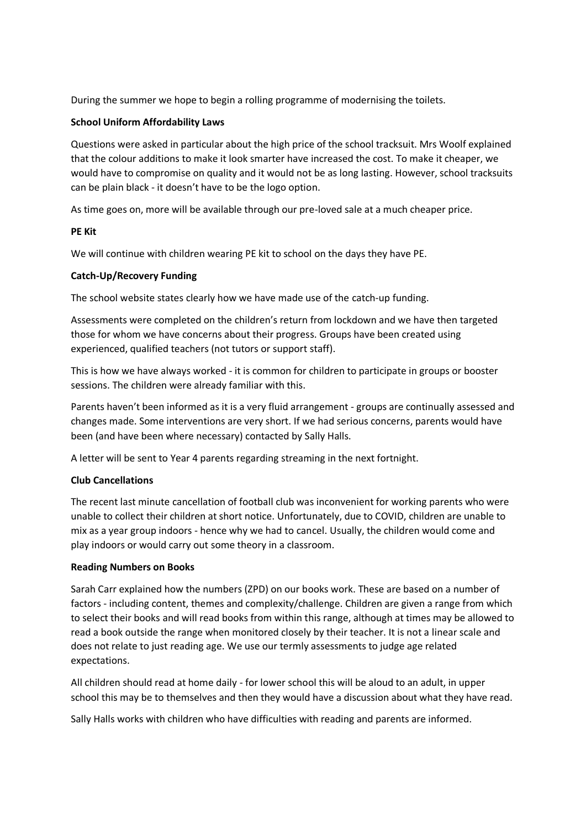During the summer we hope to begin a rolling programme of modernising the toilets.

### **School Uniform Affordability Laws**

Questions were asked in particular about the high price of the school tracksuit. Mrs Woolf explained that the colour additions to make it look smarter have increased the cost. To make it cheaper, we would have to compromise on quality and it would not be as long lasting. However, school tracksuits can be plain black - it doesn't have to be the logo option.

As time goes on, more will be available through our pre-loved sale at a much cheaper price.

## **PE Kit**

We will continue with children wearing PE kit to school on the days they have PE.

## **Catch-Up/Recovery Funding**

The school website states clearly how we have made use of the catch-up funding.

Assessments were completed on the children's return from lockdown and we have then targeted those for whom we have concerns about their progress. Groups have been created using experienced, qualified teachers (not tutors or support staff).

This is how we have always worked - it is common for children to participate in groups or booster sessions. The children were already familiar with this.

Parents haven't been informed as it is a very fluid arrangement - groups are continually assessed and changes made. Some interventions are very short. If we had serious concerns, parents would have been (and have been where necessary) contacted by Sally Halls.

A letter will be sent to Year 4 parents regarding streaming in the next fortnight.

# **Club Cancellations**

The recent last minute cancellation of football club was inconvenient for working parents who were unable to collect their children at short notice. Unfortunately, due to COVID, children are unable to mix as a year group indoors - hence why we had to cancel. Usually, the children would come and play indoors or would carry out some theory in a classroom.

#### **Reading Numbers on Books**

Sarah Carr explained how the numbers (ZPD) on our books work. These are based on a number of factors - including content, themes and complexity/challenge. Children are given a range from which to select their books and will read books from within this range, although at times may be allowed to read a book outside the range when monitored closely by their teacher. It is not a linear scale and does not relate to just reading age. We use our termly assessments to judge age related expectations.

All children should read at home daily - for lower school this will be aloud to an adult, in upper school this may be to themselves and then they would have a discussion about what they have read.

Sally Halls works with children who have difficulties with reading and parents are informed.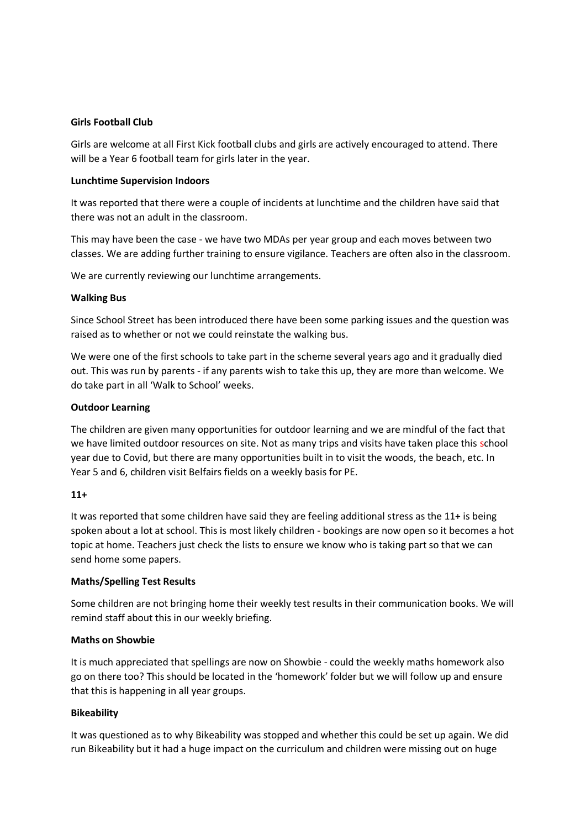### **Girls Football Club**

Girls are welcome at all First Kick football clubs and girls are actively encouraged to attend. There will be a Year 6 football team for girls later in the year.

#### **Lunchtime Supervision Indoors**

It was reported that there were a couple of incidents at lunchtime and the children have said that there was not an adult in the classroom.

This may have been the case - we have two MDAs per year group and each moves between two classes. We are adding further training to ensure vigilance. Teachers are often also in the classroom.

We are currently reviewing our lunchtime arrangements.

## **Walking Bus**

Since School Street has been introduced there have been some parking issues and the question was raised as to whether or not we could reinstate the walking bus.

We were one of the first schools to take part in the scheme several years ago and it gradually died out. This was run by parents - if any parents wish to take this up, they are more than welcome. We do take part in all 'Walk to School' weeks.

## **Outdoor Learning**

The children are given many opportunities for outdoor learning and we are mindful of the fact that we have limited outdoor resources on site. Not as many trips and visits have taken place this school year due to Covid, but there are many opportunities built in to visit the woods, the beach, etc. In Year 5 and 6, children visit Belfairs fields on a weekly basis for PE.

# **11+**

It was reported that some children have said they are feeling additional stress as the 11+ is being spoken about a lot at school. This is most likely children - bookings are now open so it becomes a hot topic at home. Teachers just check the lists to ensure we know who is taking part so that we can send home some papers.

#### **Maths/Spelling Test Results**

Some children are not bringing home their weekly test results in their communication books. We will remind staff about this in our weekly briefing.

### **Maths on Showbie**

It is much appreciated that spellings are now on Showbie - could the weekly maths homework also go on there too? This should be located in the 'homework' folder but we will follow up and ensure that this is happening in all year groups.

# **Bikeability**

It was questioned as to why Bikeability was stopped and whether this could be set up again. We did run Bikeability but it had a huge impact on the curriculum and children were missing out on huge